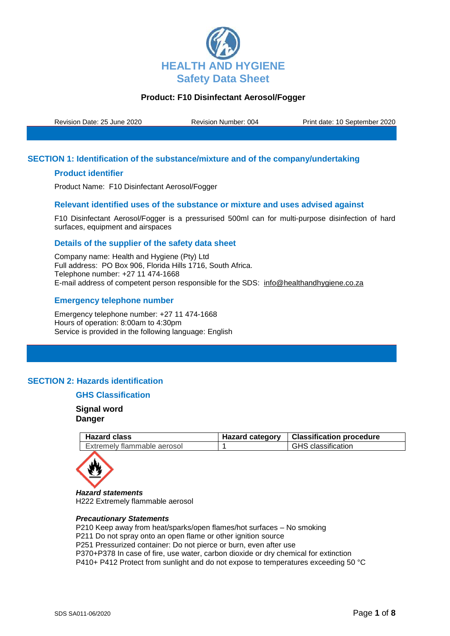

Revision Date: 25 June 2020 Revision Number: 004 Print date: 10 September 2020

## **SECTION 1: Identification of the substance/mixture and of the company/undertaking**

## **Product identifier**

Product Name: F10 Disinfectant Aerosol/Fogger

#### **Relevant identified uses of the substance or mixture and uses advised against**

F10 Disinfectant Aerosol/Fogger is a pressurised 500ml can for multi-purpose disinfection of hard surfaces, equipment and airspaces

## **Details of the supplier of the safety data sheet**

Company name: Health and Hygiene (Pty) Ltd Full address: PO Box 906, Florida Hills 1716, South Africa. Telephone number: +27 11 474-1668 E-mail address of competent person responsible for the SDS: info@healthandhygiene.co.za

## **Emergency telephone number**

Emergency telephone number: +27 11 474-1668 Hours of operation: 8:00am to 4:30pm Service is provided in the following language: English

## **SECTION 2: Hazards identification**

## **GHS Classification**

**Signal word Danger**

| <b>Hazard class</b>         | Hazard category   Classification procedure |
|-----------------------------|--------------------------------------------|
| Extremely flammable aerosol | <b>GHS</b> classification                  |



*Hazard statements* H222 Extremely flammable aerosol

#### *Precautionary Statements*

P210 Keep away from heat/sparks/open flames/hot surfaces – No smoking P211 Do not spray onto an open flame or other ignition source P251 Pressurized container: Do not pierce or burn, even after use P370+P378 In case of fire, use water, carbon dioxide or dry chemical for extinction P410+ P412 Protect from sunlight and do not expose to temperatures exceeding 50 °C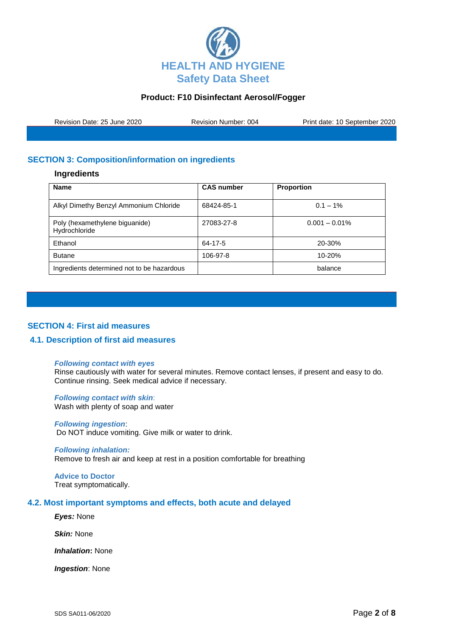

| Revision Date: 25 June 2020 | <b>Revision Number: 004</b> | Print date: 10 September 2020 |
|-----------------------------|-----------------------------|-------------------------------|
|                             |                             |                               |

# **SECTION 3: Composition/information on ingredients**

#### **Ingredients**

| <b>Name</b>                                     | <b>CAS number</b> | <b>Proportion</b> |
|-------------------------------------------------|-------------------|-------------------|
| Alkyl Dimethy Benzyl Ammonium Chloride          | 68424-85-1        | $0.1 - 1\%$       |
| Poly (hexamethylene biguanide)<br>Hydrochloride | 27083-27-8        | $0.001 - 0.01\%$  |
| Ethanol                                         | 64-17-5           | 20-30%            |
| <b>Butane</b>                                   | 106-97-8          | $10 - 20%$        |
| Ingredients determined not to be hazardous      |                   | balance           |

## **SECTION 4: First aid measures**

## **4.1. Description of first aid measures**

#### *Following contact with eyes*

Rinse cautiously with water for several minutes. Remove contact lenses, if present and easy to do. Continue rinsing. Seek medical advice if necessary.

#### *Following contact with skin*: Wash with plenty of soap and water

*Following ingestion*: Do NOT induce vomiting. Give milk or water to drink.

## *Following inhalation:*

Remove to fresh air and keep at rest in a position comfortable for breathing

#### **Advice to Doctor** Treat symptomatically.

#### **4.2. Most important symptoms and effects, both acute and delayed**

*Eyes:* None

*Skin:* None

*Inhalation***:** None

*Ingestion*: None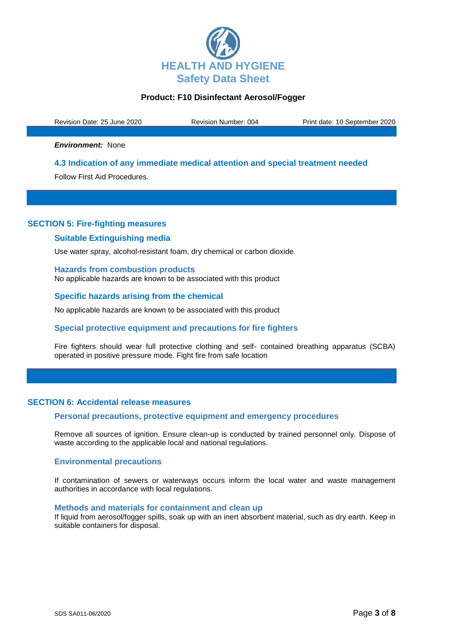

Revision Date: 25 June 2020 Revision Number: 004 Print date: 10 September 2020

*Environment:* None

#### **4.3 Indication of any immediate medical attention and special treatment needed**

Follow First Aid Procedures.

# **SECTION 5: Fire-fighting measures**

#### **Suitable Extinguishing media**

Use water spray, alcohol-resistant foam, dry chemical or carbon dioxide.

**Hazards from combustion products** No applicable hazards are known to be associated with this product

**Specific hazards arising from the chemical**

No applicable hazards are known to be associated with this product

## **Special protective equipment and precautions for fire fighters**

Fire fighters should wear full protective clothing and self- contained breathing apparatus (SCBA) operated in positive pressure mode. Fight fire from safe location

## **SECTION 6: Accidental release measures**

#### **Personal precautions, protective equipment and emergency procedures**

Remove all sources of ignition. Ensure clean-up is conducted by trained personnel only. Dispose of waste according to the applicable local and national regulations.

#### **Environmental precautions**

If contamination of sewers or waterways occurs inform the local water and waste management authorities in accordance with local regulations.

#### **Methods and materials for containment and clean up**

If liquid from aerosol/fogger spills, soak up with an inert absorbent material, such as dry earth. Keep in suitable containers for disposal.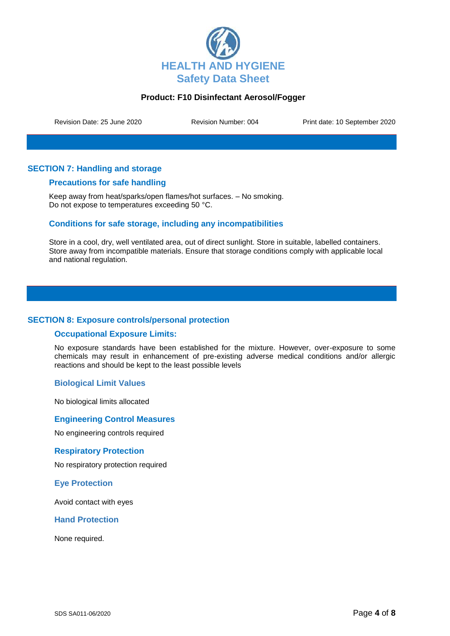

Revision Date: 25 June 2020 Revision Number: 004 Print date: 10 September 2020

# **SECTION 7: Handling and storage**

## **Precautions for safe handling**

Keep away from heat/sparks/open flames/hot surfaces. – No smoking. Do not expose to temperatures exceeding 50 °C.

## **Conditions for safe storage, including any incompatibilities**

Store in a cool, dry, well ventilated area, out of direct sunlight. Store in suitable, labelled containers. Store away from incompatible materials. Ensure that storage conditions comply with applicable local and national regulation.

## **SECTION 8: Exposure controls/personal protection**

## **Occupational Exposure Limits:**

No exposure standards have been established for the mixture. However, over-exposure to some chemicals may result in enhancement of pre-existing adverse medical conditions and/or allergic reactions and should be kept to the least possible levels

## **Biological Limit Values**

No biological limits allocated

## **Engineering Control Measures**

No engineering controls required

#### **Respiratory Protection**

No respiratory protection required

## **Eye Protection**

Avoid contact with eyes

**Hand Protection**

None required.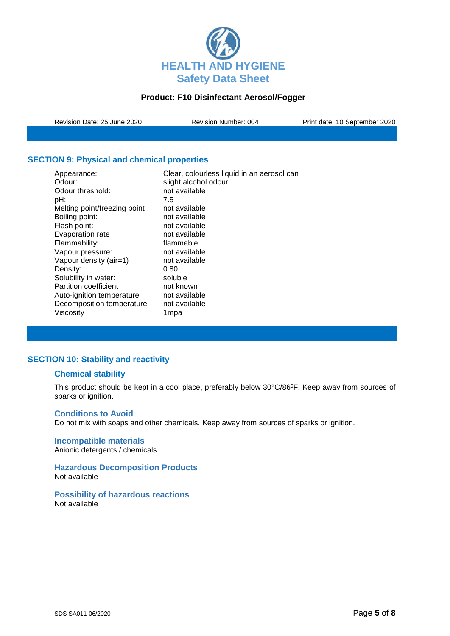

Revision Date: 25 June 2020 Revision Number: 004 Print date: 10 September 2020

# **SECTION 9: Physical and chemical properties**

| Appearance:<br>Odour:        | Clear, colourless liquid in an aerosol can<br>slight alcohol odour |
|------------------------------|--------------------------------------------------------------------|
| Odour threshold:             | not available                                                      |
| pH:                          | 7.5                                                                |
| Melting point/freezing point | not available                                                      |
| Boiling point:               | not available                                                      |
| Flash point:                 | not available                                                      |
| Evaporation rate             | not available                                                      |
| Flammability:                | flammable                                                          |
| Vapour pressure:             | not available                                                      |
| Vapour density (air=1)       | not available                                                      |
| Density:                     | 0.80                                                               |
| Solubility in water:         | soluble                                                            |
| Partition coefficient        | not known                                                          |
| Auto-ignition temperature    | not available                                                      |
| Decomposition temperature    | not available                                                      |
| Viscosity                    | 1mpa                                                               |

# **SECTION 10: Stability and reactivity**

# **Chemical stability**

This product should be kept in a cool place, preferably below 30°C/86°F. Keep away from sources of sparks or ignition.

## **Conditions to Avoid**

Do not mix with soaps and other chemicals. Keep away from sources of sparks or ignition.

# **Incompatible materials**

Anionic detergents / chemicals.

#### **Hazardous Decomposition Products** Not available

**Possibility of hazardous reactions** Not available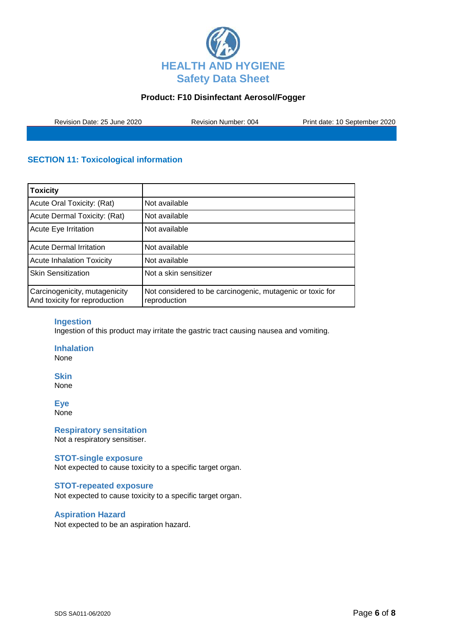

Revision Date: 25 June 2020 Revision Number: 004 Print date: 10 September 2020

# **SECTION 11: Toxicological information**

| <b>Toxicity</b>                                                |                                                                           |
|----------------------------------------------------------------|---------------------------------------------------------------------------|
| Acute Oral Toxicity: (Rat)                                     | Not available                                                             |
| Acute Dermal Toxicity: (Rat)                                   | Not available                                                             |
| Acute Eye Irritation                                           | Not available                                                             |
| <b>Acute Dermal Irritation</b>                                 | Not available                                                             |
| <b>Acute Inhalation Toxicity</b>                               | Not available                                                             |
| <b>Skin Sensitization</b>                                      | Not a skin sensitizer                                                     |
| Carcinogenicity, mutagenicity<br>And toxicity for reproduction | Not considered to be carcinogenic, mutagenic or toxic for<br>reproduction |

## **Ingestion**

Ingestion of this product may irritate the gastric tract causing nausea and vomiting.

**Inhalation**

None

**Skin** None

**Eye**

None

**Respiratory sensitation** Not a respiratory sensitiser.

#### **STOT-single exposure**

Not expected to cause toxicity to a specific target organ.

#### **STOT-repeated exposure**

Not expected to cause toxicity to a specific target organ.

#### **Aspiration Hazard**

Not expected to be an aspiration hazard.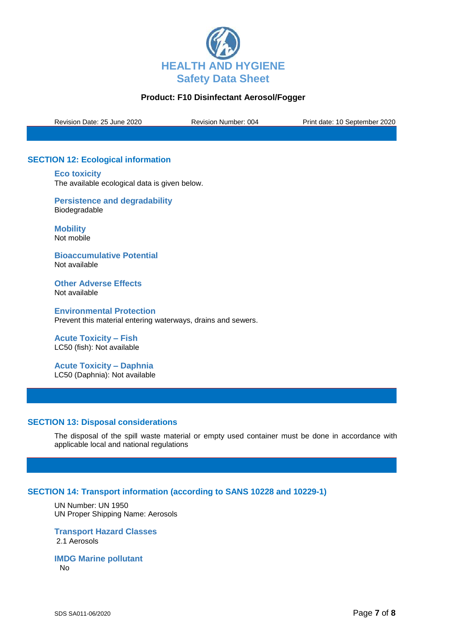

Revision Date: 25 June 2020 Revision Number: 004 Print date: 10 September 2020

# **SECTION 12: Ecological information**

**Eco toxicity** The available ecological data is given below.

**Persistence and degradability** Biodegradable

**Mobility** Not mobile

**Bioaccumulative Potential** Not available

**Other Adverse Effects** Not available

**Environmental Protection** Prevent this material entering waterways, drains and sewers.

**Acute Toxicity – Fish** LC50 (fish): Not available

**Acute Toxicity – Daphnia** LC50 (Daphnia): Not available

## **SECTION 13: Disposal considerations**

The disposal of the spill waste material or empty used container must be done in accordance with applicable local and national regulations

## **SECTION 14: Transport information (according to SANS 10228 and 10229-1)**

UN Number: UN 1950 UN Proper Shipping Name: Aerosols

**Transport Hazard Classes** 2.1 Aerosols

**IMDG Marine pollutant** No